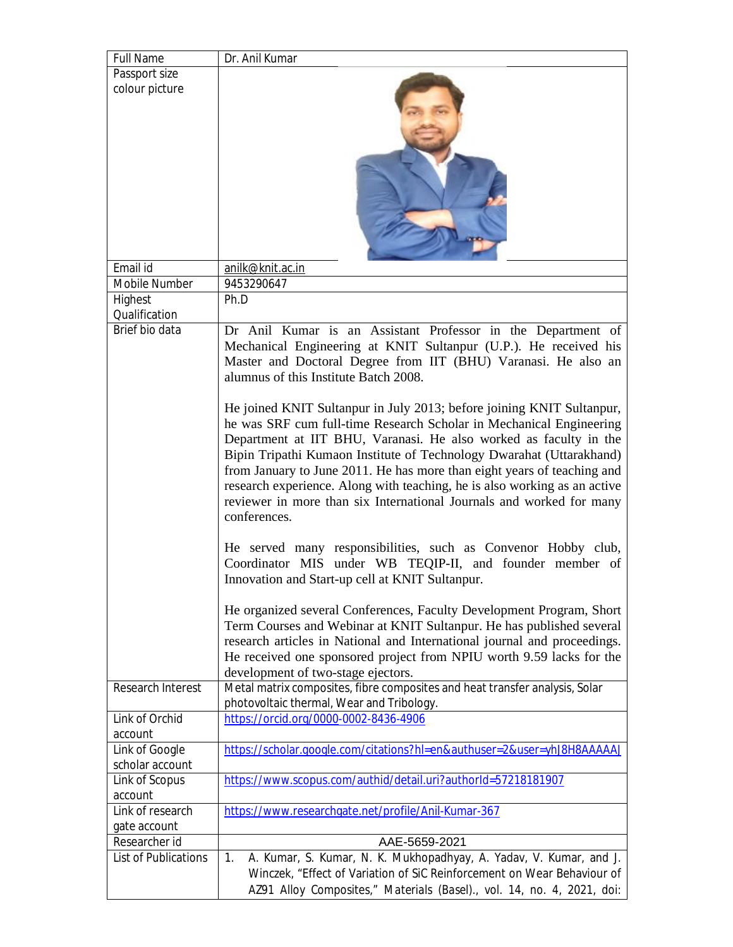| <b>Full Name</b>            | Dr. Anil Kumar                                                                                                                                                                                                                                                                                                                                                                                                                                                                                                                                                                                                                                                                                                                                                                                                                                                                                                                                                                                                                                                                                                                                                                                                                                                                                                     |
|-----------------------------|--------------------------------------------------------------------------------------------------------------------------------------------------------------------------------------------------------------------------------------------------------------------------------------------------------------------------------------------------------------------------------------------------------------------------------------------------------------------------------------------------------------------------------------------------------------------------------------------------------------------------------------------------------------------------------------------------------------------------------------------------------------------------------------------------------------------------------------------------------------------------------------------------------------------------------------------------------------------------------------------------------------------------------------------------------------------------------------------------------------------------------------------------------------------------------------------------------------------------------------------------------------------------------------------------------------------|
| Passport size               |                                                                                                                                                                                                                                                                                                                                                                                                                                                                                                                                                                                                                                                                                                                                                                                                                                                                                                                                                                                                                                                                                                                                                                                                                                                                                                                    |
| colour picture              |                                                                                                                                                                                                                                                                                                                                                                                                                                                                                                                                                                                                                                                                                                                                                                                                                                                                                                                                                                                                                                                                                                                                                                                                                                                                                                                    |
| Email id                    | anilk@knit.ac.in                                                                                                                                                                                                                                                                                                                                                                                                                                                                                                                                                                                                                                                                                                                                                                                                                                                                                                                                                                                                                                                                                                                                                                                                                                                                                                   |
| <b>Mobile Number</b>        | 9453290647                                                                                                                                                                                                                                                                                                                                                                                                                                                                                                                                                                                                                                                                                                                                                                                                                                                                                                                                                                                                                                                                                                                                                                                                                                                                                                         |
| Highest<br>Qualification    | Ph.D                                                                                                                                                                                                                                                                                                                                                                                                                                                                                                                                                                                                                                                                                                                                                                                                                                                                                                                                                                                                                                                                                                                                                                                                                                                                                                               |
| Brief bio data              | Dr Anil Kumar is an Assistant Professor in the Department of<br>Mechanical Engineering at KNIT Sultanpur (U.P.). He received his<br>Master and Doctoral Degree from IIT (BHU) Varanasi. He also an<br>alumnus of this Institute Batch 2008.<br>He joined KNIT Sultanpur in July 2013; before joining KNIT Sultanpur,<br>he was SRF cum full-time Research Scholar in Mechanical Engineering<br>Department at IIT BHU, Varanasi. He also worked as faculty in the<br>Bipin Tripathi Kumaon Institute of Technology Dwarahat (Uttarakhand)<br>from January to June 2011. He has more than eight years of teaching and<br>research experience. Along with teaching, he is also working as an active<br>reviewer in more than six International Journals and worked for many<br>conferences.<br>He served many responsibilities, such as Convenor Hobby club,<br>Coordinator MIS under WB TEQIP-II, and founder member of<br>Innovation and Start-up cell at KNIT Sultanpur.<br>He organized several Conferences, Faculty Development Program, Short<br>Term Courses and Webinar at KNIT Sultanpur. He has published several<br>research articles in National and International journal and proceedings.<br>He received one sponsored project from NPIU worth 9.59 lacks for the<br>development of two-stage ejectors. |
| <b>Research Interest</b>    | Metal matrix composites, fibre composites and heat transfer analysis, Solar                                                                                                                                                                                                                                                                                                                                                                                                                                                                                                                                                                                                                                                                                                                                                                                                                                                                                                                                                                                                                                                                                                                                                                                                                                        |
|                             | photovoltaic thermal, Wear and Tribology.                                                                                                                                                                                                                                                                                                                                                                                                                                                                                                                                                                                                                                                                                                                                                                                                                                                                                                                                                                                                                                                                                                                                                                                                                                                                          |
| Link of Orchid<br>account   | https://orcid.org/0000-0002-8436-4906                                                                                                                                                                                                                                                                                                                                                                                                                                                                                                                                                                                                                                                                                                                                                                                                                                                                                                                                                                                                                                                                                                                                                                                                                                                                              |
| Link of Google              |                                                                                                                                                                                                                                                                                                                                                                                                                                                                                                                                                                                                                                                                                                                                                                                                                                                                                                                                                                                                                                                                                                                                                                                                                                                                                                                    |
| scholar account             | https://scholar.google.com/citations?hl=en&authuser=2&user=yhJ8H8AAAAAJ                                                                                                                                                                                                                                                                                                                                                                                                                                                                                                                                                                                                                                                                                                                                                                                                                                                                                                                                                                                                                                                                                                                                                                                                                                            |
| Link of Scopus              | https://www.scopus.com/authid/detail.uri?authorId=57218181907                                                                                                                                                                                                                                                                                                                                                                                                                                                                                                                                                                                                                                                                                                                                                                                                                                                                                                                                                                                                                                                                                                                                                                                                                                                      |
| account                     |                                                                                                                                                                                                                                                                                                                                                                                                                                                                                                                                                                                                                                                                                                                                                                                                                                                                                                                                                                                                                                                                                                                                                                                                                                                                                                                    |
| Link of research            | https://www.researchgate.net/profile/Anil-Kumar-367                                                                                                                                                                                                                                                                                                                                                                                                                                                                                                                                                                                                                                                                                                                                                                                                                                                                                                                                                                                                                                                                                                                                                                                                                                                                |
| gate account                |                                                                                                                                                                                                                                                                                                                                                                                                                                                                                                                                                                                                                                                                                                                                                                                                                                                                                                                                                                                                                                                                                                                                                                                                                                                                                                                    |
| Researcher id               | AAE-5659-2021                                                                                                                                                                                                                                                                                                                                                                                                                                                                                                                                                                                                                                                                                                                                                                                                                                                                                                                                                                                                                                                                                                                                                                                                                                                                                                      |
| <b>List of Publications</b> | A. Kumar, S. Kumar, N. K. Mukhopadhyay, A. Yadav, V. Kumar, and J.<br>1.                                                                                                                                                                                                                                                                                                                                                                                                                                                                                                                                                                                                                                                                                                                                                                                                                                                                                                                                                                                                                                                                                                                                                                                                                                           |
|                             | Winczek, "Effect of Variation of SiC Reinforcement on Wear Behaviour of                                                                                                                                                                                                                                                                                                                                                                                                                                                                                                                                                                                                                                                                                                                                                                                                                                                                                                                                                                                                                                                                                                                                                                                                                                            |
|                             | AZ91 Alloy Composites," Materials (Basel)., vol. 14, no. 4, 2021, doi:                                                                                                                                                                                                                                                                                                                                                                                                                                                                                                                                                                                                                                                                                                                                                                                                                                                                                                                                                                                                                                                                                                                                                                                                                                             |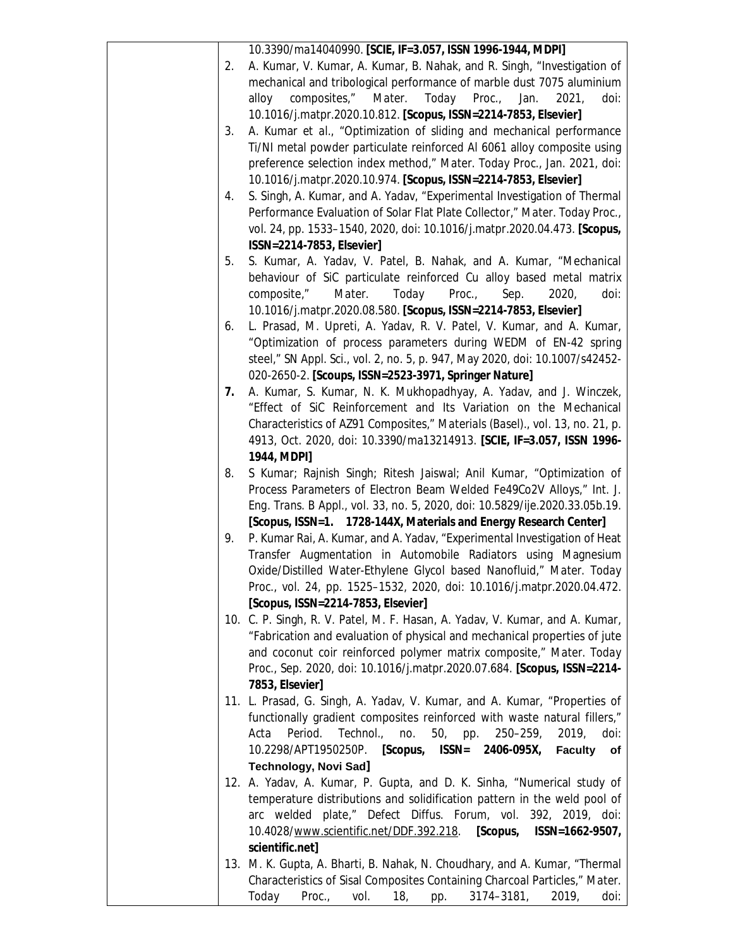|    | 10.3390/ma14040990. [SCIE, IF=3.057, ISSN 1996-1944, MDPI]                     |
|----|--------------------------------------------------------------------------------|
| 2. | A. Kumar, V. Kumar, A. Kumar, B. Nahak, and R. Singh, "Investigation of        |
|    | mechanical and tribological performance of marble dust 7075 aluminium          |
|    | composites,"<br>Today Proc.,<br>Mater.<br>Jan.<br>2021,<br>doi:<br>alloy       |
|    | 10.1016/j.matpr.2020.10.812. [Scopus, ISSN=2214-7853, Elsevier]                |
| 3. | A. Kumar et al., "Optimization of sliding and mechanical performance           |
|    | Ti/NI metal powder particulate reinforced AI 6061 alloy composite using        |
|    | preference selection index method," Mater. Today Proc., Jan. 2021, doi:        |
|    | 10.1016/j.matpr.2020.10.974. [Scopus, ISSN=2214-7853, Elsevier]                |
| 4. | S. Singh, A. Kumar, and A. Yadav, "Experimental Investigation of Thermal       |
|    |                                                                                |
|    | Performance Evaluation of Solar Flat Plate Collector," Mater. Today Proc.,     |
|    | vol. 24, pp. 1533-1540, 2020, doi: 10.1016/j.matpr.2020.04.473. [Scopus,       |
|    | ISSN=2214-7853, Elsevier]                                                      |
| 5. | S. Kumar, A. Yadav, V. Patel, B. Nahak, and A. Kumar, "Mechanical              |
|    | behaviour of SiC particulate reinforced Cu alloy based metal matrix            |
|    | composite,"<br>Mater.<br>Today<br>Proc.<br>Sep.<br>2020,<br>doi:               |
|    | 10.1016/j.matpr.2020.08.580. [Scopus, ISSN=2214-7853, Elsevier]                |
| 6. | L. Prasad, M. Upreti, A. Yadav, R. V. Patel, V. Kumar, and A. Kumar,           |
|    | "Optimization of process parameters during WEDM of EN-42 spring                |
|    | steel," SN Appl. Sci., vol. 2, no. 5, p. 947, May 2020, doi: 10.1007/s42452-   |
|    | 020-2650-2. [Scoups, ISSN=2523-3971, Springer Nature]                          |
| 7. | A. Kumar, S. Kumar, N. K. Mukhopadhyay, A. Yadav, and J. Winczek,              |
|    | "Effect of SiC Reinforcement and Its Variation on the Mechanical               |
|    | Characteristics of AZ91 Composites," Materials (Basel)., vol. 13, no. 21, p.   |
|    | 4913, Oct. 2020, doi: 10.3390/ma13214913. [SCIE, IF=3.057, ISSN 1996-          |
|    | 1944, MDPI]                                                                    |
| 8. | S Kumar; Rajnish Singh; Ritesh Jaiswal; Anil Kumar, "Optimization of           |
|    | Process Parameters of Electron Beam Welded Fe49Co2V Alloys," Int. J.           |
|    | Eng. Trans. B Appl., vol. 33, no. 5, 2020, doi: 10.5829/ije.2020.33.05b.19.    |
|    | [Scopus, ISSN=1. 1728-144X, Materials and Energy Research Center]              |
| 9. | P. Kumar Rai, A. Kumar, and A. Yadav, "Experimental Investigation of Heat      |
|    | Transfer Augmentation in Automobile Radiators using Magnesium                  |
|    | Oxide/Distilled Water-Ethylene Glycol based Nanofluid," Mater. Today           |
|    | Proc., vol. 24, pp. 1525-1532, 2020, doi: 10.1016/j.matpr.2020.04.472.         |
|    | [Scopus, ISSN=2214-7853, Elsevier]                                             |
|    | 10. C. P. Singh, R. V. Patel, M. F. Hasan, A. Yadav, V. Kumar, and A. Kumar,   |
|    | "Fabrication and evaluation of physical and mechanical properties of jute      |
|    | and coconut coir reinforced polymer matrix composite," Mater. Today            |
|    | Proc., Sep. 2020, doi: 10.1016/j.matpr.2020.07.684. [Scopus, ISSN=2214-        |
|    | 7853, Elsevier]                                                                |
|    | 11. L. Prasad, G. Singh, A. Yadav, V. Kumar, and A. Kumar, "Properties of      |
|    | functionally gradient composites reinforced with waste natural fillers,"       |
|    | Technol.,<br>no.<br>50, pp.<br>$250 - 259$<br>2019,<br>Acta<br>Period.<br>doi: |
|    | [Scopus, ISSN=<br>10.2298/APT1950250P.<br>2406-095X,<br><b>Faculty</b><br>of   |
|    | Technology, Novi Sad]                                                          |
|    | 12. A. Yadav, A. Kumar, P. Gupta, and D. K. Sinha, "Numerical study of         |
|    | temperature distributions and solidification pattern in the weld pool of       |
|    | arc welded plate," Defect Diffus. Forum, vol. 392, 2019, doi:                  |
|    |                                                                                |
|    | 10.4028/www.scientific.net/DDF.392.218.<br>[Scopus,<br>ISSN=1662-9507,         |
|    | scientific.net]                                                                |
|    | 13. M. K. Gupta, A. Bharti, B. Nahak, N. Choudhary, and A. Kumar, "Thermal     |
|    | Characteristics of Sisal Composites Containing Charcoal Particles," Mater.     |
|    | Today<br>18,<br>$3174 - 3181$ ,<br>2019,<br>Proc.,<br>vol.<br>doi:<br>pp.      |